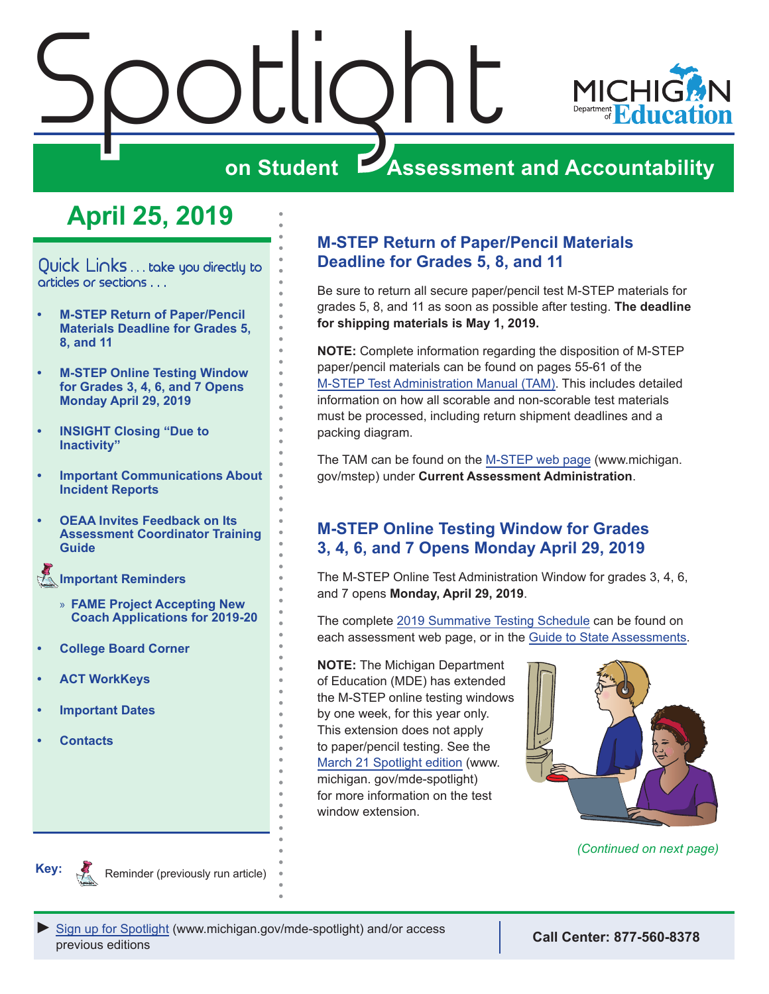<span id="page-0-0"></span>



## **April 25, 2019**

Quick Links . . . take you directly to articles or sections . . .

- **• M-STEP Return of Paper/Pencil Materials Deadline for Grades 5, 8, and 11**
- **• M-STEP Online Testing Window for Grades 3, 4, 6, and 7 Opens Monday April 29, 2019**
- **• [INSIGHT Closing "Due to](#page-2-0)  [Inactivity"](#page-2-0)**
- **• [Important Communications About](#page-2-0)  [Incident Reports](#page-2-0)**
- **• [OEAA Invites Feedback on Its](#page-2-0)  [Assessment Coordinator Training](#page-2-0)  [Guide](#page-2-0)**

Reminders **[Important Reminders](#page-3-0)**

- » **[FAME Project Accepting New](#page-3-0)  [Coach Applications for 2019-20](#page-3-0)**
- **• [College Board Corner](#page-4-0)**
- **• [ACT WorkKeys](#page-5-0)**
- **• [Important Dates](#page-6-0)**
- **• [Contacts](#page-7-0)**

## **M-STEP Return of Paper/Pencil Materials Deadline for Grades 5, 8, and 11**

Be sure to return all secure paper/pencil test M-STEP materials for grades 5, 8, and 11 as soon as possible after testing. **The deadline for shipping materials is May 1, 2019.**

**NOTE:** Complete information regarding the disposition of M-STEP paper/pencil materials can be found on pages 55-61 of the [M-STEP Test Administration Manual \(TAM\)](https://www.michigan.gov/documents/mde/M-STEP_Test_Administration_Manual_630729_7.pdf). This includes detailed information on how all scorable and non-scorable test materials must be processed, including return shipment deadlines and a packing diagram.

The TAM can be found on the [M-STEP web page](www.michigan.gov/mstep) (www.michigan. gov/mstep) under **Current Assessment Administration**.

## **M-STEP Online Testing Window for Grades 3, 4, 6, and 7 Opens Monday April 29, 2019**

The M-STEP Online Test Administration Window for grades 3, 4, 6, and 7 opens **Monday, April 29, 2019**.

The complete [2019 Summative Testing Schedule](https://www.michigan.gov/documents/mde/Testing_Schedule_for_Summative_Assessments_635008_7.pdf) can be found on each assessment web page, or in the [Guide to State Assessments.](https://www.michigan.gov/documents/mde/Guide_to_State_Assessments_622260_7.pdf)

**NOTE:** The Michigan Department of Education (MDE) has extended the M-STEP online testing windows by one week, for this year only. This extension does not apply to paper/pencil testing. See the [March 21 Spotlight edition](https://www.michigan.gov/documents/mde/Spotlight_3-21-19_650049_7.pdf) (www. michigan. gov/mde-spotlight) for more information on the test window extension.



*(Continued on next page)*



Reminder (previously run article)

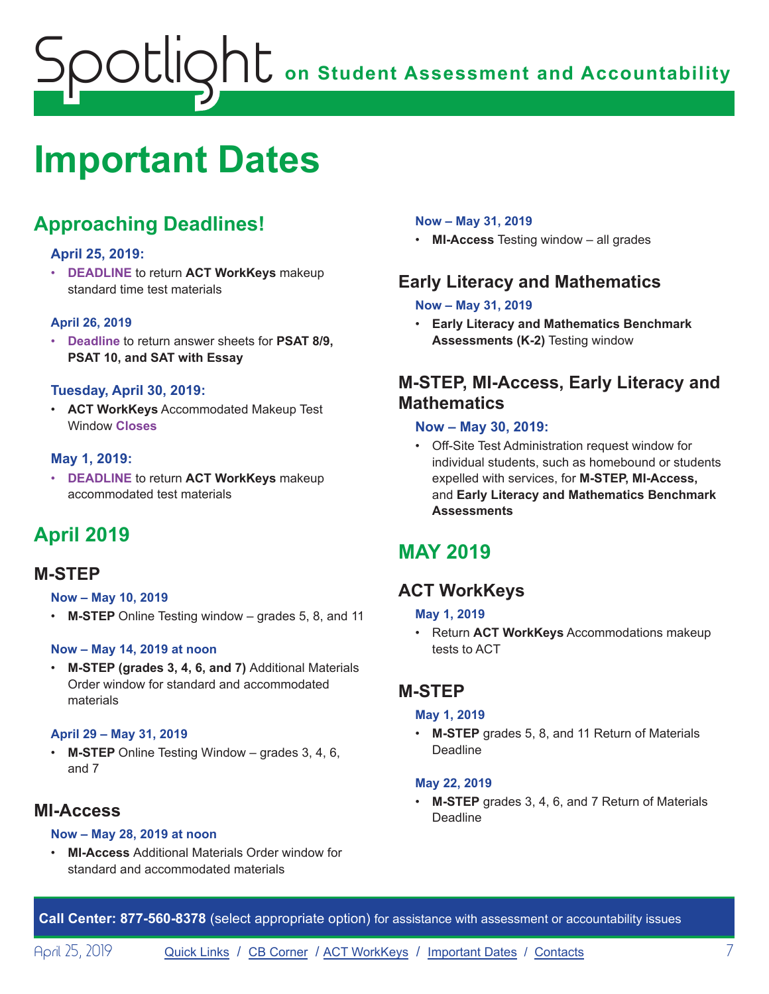# <span id="page-6-0"></span>**ODE** on Student Assessment and Accountability potlic

# <span id="page-6-1"></span>**Important Dates**

## **Approaching Deadlines!**

### **April 25, 2019:**

• **DEADLINE** to return **ACT WorkKeys** makeup standard time test materials

### **April 26, 2019**

• **Deadline** to return answer sheets for **PSAT 8/9, PSAT 10, and SAT with Essay**

#### **Tuesday, April 30, 2019:**

• **ACT WorkKeys** Accommodated Makeup Test Window **Closes**

#### **May 1, 2019:**

• **DEADLINE** to return **ACT WorkKeys** makeup accommodated test materials

## **April 2019**

## **M-STEP**

#### **Now – May 10, 2019**

• **M-STEP** Online Testing window – grades 5, 8, and 11

#### **Now – May 14, 2019 at noon**

• **M-STEP (grades 3, 4, 6, and 7)** Additional Materials Order window for standard and accommodated materials

#### **April 29 – May 31, 2019**

• **M-STEP** Online Testing Window – grades 3, 4, 6, and 7

### **MI-Access**

#### **Now – May 28, 2019 at noon**

• **MI-Access** Additional Materials Order window for standard and accommodated materials

### **Now – May 31, 2019**

• **MI-Access** Testing window – all grades

## **Early Literacy and Mathematics**

#### **Now – May 31, 2019**

• **Early Literacy and Mathematics Benchmark Assessments (K-2)** Testing window

## **M-STEP, MI-Access, Early Literacy and Mathematics**

#### **Now – May 30, 2019:**

• Off-Site Test Administration request window for individual students, such as homebound or students expelled with services, for **M-STEP, MI-Access,**  and **Early Literacy and Mathematics Benchmark Assessments**

## **MAY 2019**

## **ACT WorkKeys**

#### **May 1, 2019**

• Return **ACT WorkKeys** Accommodations makeup tests to ACT

## **M-STEP**

#### **May 1, 2019**

• **M-STEP** grades 5, 8, and 11 Return of Materials Deadline

#### **May 22, 2019**

• **M-STEP** grades 3, 4, 6, and 7 Return of Materials Deadline

**Call Center: 877-560-8378** (select appropriate option) for assistance with assessment or accountability issues